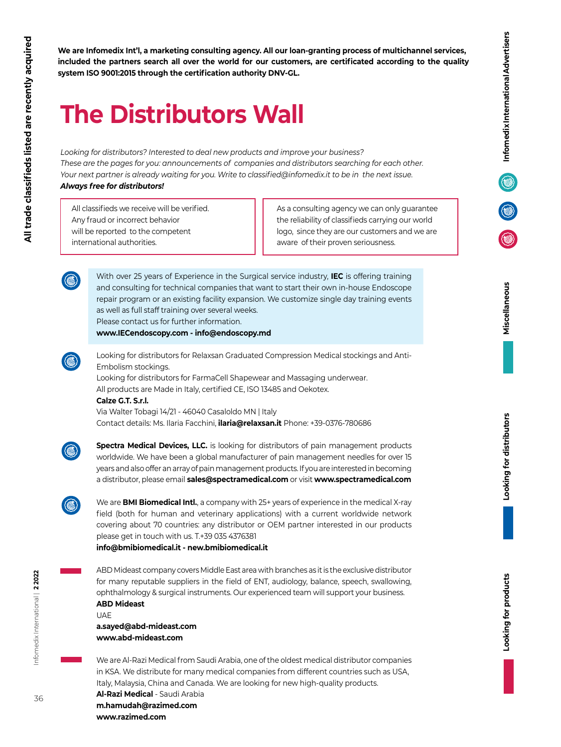**We are Infomedix Int'l, a marketing consulting agency. All our loan-granting process of multichannel services, included the partners search all over the world for our customers, are certificated according to the quality system ISO 9001:2015 through the certification authority DNV-GL.**

## **The Distributors Wall**

*Looking for distributors? Interested to deal new products and improve your business? These are the pages for you: announcements of companies and distributors searching for each other. Your next partner is already waiting for you. Write to classified@infomedix.it to be in the next issue. Always free for distributors!*

All classifieds we receive will be verified. Any fraud or incorrect behavior will be reported to the competent international authorities.

As a consulting agency we can only guarantee the reliability of classifieds carrying our world logo, since they are our customers and we are aware of their proven seriousness.



With over 25 years of Experience in the Surgical service industry, **IEC** is offering training and consulting for technical companies that want to start their own in-house Endoscope repair program or an existing facility expansion. We customize single day training events as well as full staff training over several weeks. Please contact us for further information.

**www.IECendoscopy.com - info@endoscopy.md**



Looking for distributors for Relaxsan Graduated Compression Medical stockings and Anti-Embolism stockings.

Looking for distributors for FarmaCell Shapewear and Massaging underwear. All products are Made in Italy, certified CE, ISO 13485 and Oekotex.

## **Calze G.T. S.r.l.**

Via Walter Tobagi 14/21 - 46040 Casaloldo MN | Italy Contact details: Ms. Ilaria Facchini, **ilaria@relaxsan.it** Phone: +39-0376-780686



**Spectra Medical Devices, LLC.** is looking for distributors of pain management products worldwide. We have been a global manufacturer of pain management needles for over 15 years and also offer an array of pain management products. If you are interested in becoming a distributor, please email **sales@spectramedical.com** or visit **www.spectramedical.com**



We are **BMI Biomedical Intl.**, a company with 25+ years of experience in the medical X-ray field (both for human and veterinary applications) with a current worldwide network covering about 70 countries: any distributor or OEM partner interested in our products please get in touch with us. T.+39 035 4376381

**info@bmibiomedical.it - new.bmibiomedical.it**

ABD Mideast company covers Middle East area with branches as it is the exclusive distributor for many reputable suppliers in the field of ENT, audiology, balance, speech, swallowing, ophthalmology & surgical instruments. Our experienced team will support your business. **ABD Mideast**

UAE **a.sayed@abd-mideast.com www.abd-mideast.com**

We are Al-Razi Medical from Saudi Arabia, one of the oldest medical distributor companies in KSA. We distribute for many medical companies from different countries such as USA, Italy, Malaysia, China and Canada. We are looking for new high-quality products.

**Al-Razi Medical** - Saudi Arabia **m.hamudah@razimed.com www.razimed.com**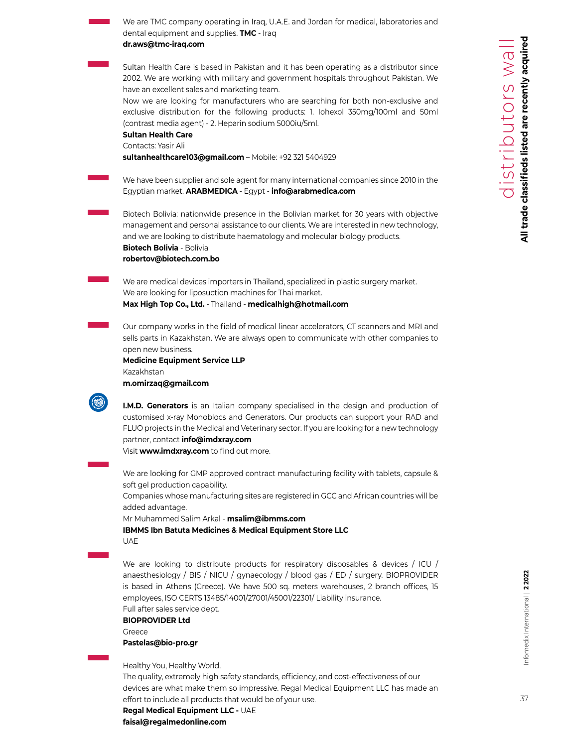| We are TMC company operating in Iraq, U.A.E. and Jordan for medical, laboratories and<br>dental equipment and supplies. TMC - Iraq                                                                                                                                                                                                                                                                        |
|-----------------------------------------------------------------------------------------------------------------------------------------------------------------------------------------------------------------------------------------------------------------------------------------------------------------------------------------------------------------------------------------------------------|
| dr.aws@tmc-iraq.com                                                                                                                                                                                                                                                                                                                                                                                       |
| Sultan Health Care is based in Pakistan and it has been operating as a distributor since<br>2002. We are working with military and government hospitals throughout Pakistan. We<br>have an excellent sales and marketing team.                                                                                                                                                                            |
| Now we are looking for manufacturers who are searching for both non-exclusive and<br>exclusive distribution for the following products: 1. Iohexol 350mg/100ml and 50ml<br>(contrast media agent) - 2. Heparin sodium 5000iu/5ml.<br><b>Sultan Health Care</b><br>Contacts: Yasir Ali                                                                                                                     |
| sultanhealthcare103@gmail.com - Mobile: +92 321 5404929                                                                                                                                                                                                                                                                                                                                                   |
| We have been supplier and sole agent for many international companies since 2010 in the<br>Egyptian market. ARABMEDICA - Egypt - info@arabmedica.com                                                                                                                                                                                                                                                      |
| Biotech Bolivia: nationwide presence in the Bolivian market for 30 years with objective<br>management and personal assistance to our clients. We are interested in new technology,<br>and we are looking to distribute haematology and molecular biology products.<br>Biotech Bolivia - Bolivia<br>robertov@biotech.com.bo                                                                                |
|                                                                                                                                                                                                                                                                                                                                                                                                           |
| We are medical devices importers in Thailand, specialized in plastic surgery market.<br>We are looking for liposuction machines for Thai market.<br>Max High Top Co., Ltd. - Thailand - medicalhigh@hotmail.com                                                                                                                                                                                           |
| Our company works in the field of medical linear accelerators, CT scanners and MRI and<br>sells parts in Kazakhstan. We are always open to communicate with other companies to<br>open new business.                                                                                                                                                                                                      |
| <b>Medicine Equipment Service LLP</b><br>Kazakhstan<br>m.omirzaq@gmail.com                                                                                                                                                                                                                                                                                                                                |
|                                                                                                                                                                                                                                                                                                                                                                                                           |
| <b>I.M.D. Generators</b> is an Italian company specialised in the design and production of<br>customised x-ray Monoblocs and Generators. Our products can support your RAD and<br>FLUO projects in the Medical and Veterinary sector. If you are looking for a new technology<br>partner, contact info@imdxray.com<br>Visit www.imdxray.com to find out more.                                             |
| We are looking for GMP approved contract manufacturing facility with tablets, capsule &                                                                                                                                                                                                                                                                                                                   |
| soft gel production capability.<br>Companies whose manufacturing sites are registered in GCC and African countries will be<br>added advantage.                                                                                                                                                                                                                                                            |
| Mr Muhammed Salim Arkal - msalim@ibmms.com                                                                                                                                                                                                                                                                                                                                                                |
| IBMMS Ibn Batuta Medicines & Medical Equipment Store LLC                                                                                                                                                                                                                                                                                                                                                  |
| UAE                                                                                                                                                                                                                                                                                                                                                                                                       |
| We are looking to distribute products for respiratory disposables & devices / ICU /<br>anaesthesiology / BIS / NICU / gynaecology / blood gas / ED / surgery. BIOPROVIDER<br>is based in Athens (Greece). We have 500 sq. meters warehouses, 2 branch offices, 15<br>employees, ISO CERTS 13485/14001/27001/45001/22301/ Liability insurance.<br>Full after sales service dept.<br><b>BIOPROVIDER Ltd</b> |
| Greece                                                                                                                                                                                                                                                                                                                                                                                                    |
| Pastelas@bio-pro.gr                                                                                                                                                                                                                                                                                                                                                                                       |
| Healthy You, Healthy World.<br>The quality, extremely high safety standards, efficiency, and cost-effectiveness of our<br>devices are what make them so impressive. Regal Medical Equipment LLC has made an<br>effort to include all products that would be of your use.<br>Regal Medical Equipment LLC - UAE                                                                                             |

**faisal@regalmedonline.com**